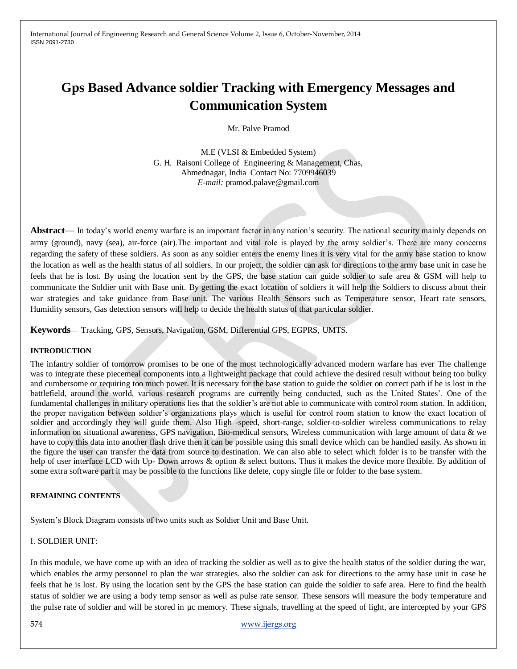International Journal of Engineering Research and General Science Volume 2, Issue 6, October-November, 2014 ISSN 2091-2730

# **Gps Based Advance soldier Tracking with Emergency Messages and Communication System**

Mr. Palve Pramod

M.E (VLSI & Embedded System) G. H. Raisoni College of Engineering & Management, Chas, Ahmednagar, India Contact No: 7709946039 *E-mail:* pramod.palave@gmail.com

**Abstract**— In today's world enemy warfare is an important factor in any nation's security. The national security mainly depends on army (ground), navy (sea), air-force (air).The important and vital role is played by the army soldier's. There are many concerns regarding the safety of these soldiers. As soon as any soldier enters the enemy lines it is very vital for the army base station to know the location as well as the health status of all soldiers. In our project, the soldier can ask for directions to the army base unit in case he feels that he is lost. By using the location sent by the GPS, the base station can guide soldier to safe area & GSM will help to communicate the Soldier unit with Base unit. By getting the exact location of soldiers it will help the Soldiers to discuss about their war strategies and take guidance from Base unit. The various Health Sensors such as Temperature sensor, Heart rate sensors, Humidity sensors, Gas detection sensors will help to decide the health status of that particular soldier.

**Keywords**— Tracking, GPS, Sensors, Navigation, GSM, Differential GPS, EGPRS, UMTS.

#### **INTRODUCTION**

The infantry soldier of tomorrow promises to be one of the most technologically advanced modern warfare has ever The challenge was to integrate these piecemeal components into a lightweight package that could achieve the desired result without being too bulky and cumbersome or requiring too much power. It is necessary for the base station to guide the soldier on correct path if he is lost in the battlefield, around the world, various research programs are currently being conducted, such as the United States'. One of the fundamental challenges in military operations lies that the soldier's are not able to communicate with control room station. In addition, the proper navigation between soldier's organizations plays which is useful for control room station to know the exact location of soldier and accordingly they will guide them. Also High -speed, short-range, soldier-to-soldier wireless communications to relay information on situational awareness, GPS navigation, Bio-medical sensors, Wireless communication with large amount of data & we have to copy this data into another flash drive then it can be possible using this small device which can be handled easily. As shown in the figure the user can transfer the data from source to destination. We can also able to select which folder is to be transfer with the help of user interface LCD with Up- Down arrows & option & select buttons. Thus it makes the device more flexible. By addition of some extra software part it may be possible to the functions like delete, copy single file or folder to the base system.

#### **REMAINING CONTENTS**

System's Block Diagram consists of two units such as Soldier Unit and Base Unit.

## I. SOLDIER UNIT:

In this module, we have come up with an idea of tracking the soldier as well as to give the health status of the soldier during the war, which enables the army personnel to plan the war strategies. also the soldier can ask for directions to the army base unit in case he feels that he is lost. By using the location sent by the GPS the base station can guide the soldier to safe area. Here to find the health status of soldier we are using a body temp sensor as well as pulse rate sensor. These sensors will measure the body temperature and the pulse rate of soldier and will be stored in µc memory. These signals, travelling at the speed of light, are intercepted by your GPS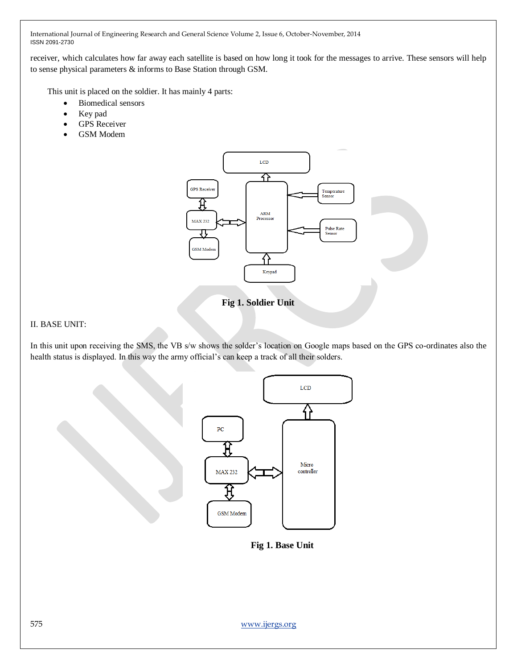International Journal of Engineering Research and General Science Volume 2, Issue 6, October-November, 2014 ISSN 2091-2730

receiver, which calculates how far away each satellite is based on how long it took for the messages to arrive. These sensors will help to sense physical parameters & informs to Base Station through GSM.

This unit is placed on the soldier. It has mainly 4 parts:

- Biomedical sensors
- Key pad
- GPS Receiver
- GSM Modem



**Fig 1. Soldier Unit**

### II. BASE UNIT:

In this unit upon receiving the SMS, the VB s/w shows the solder's location on Google maps based on the GPS co-ordinates also the health status is displayed. In this way the army official's can keep a track of all their solders.



**Fig 1. Base Unit**

575 www.ijergs.org